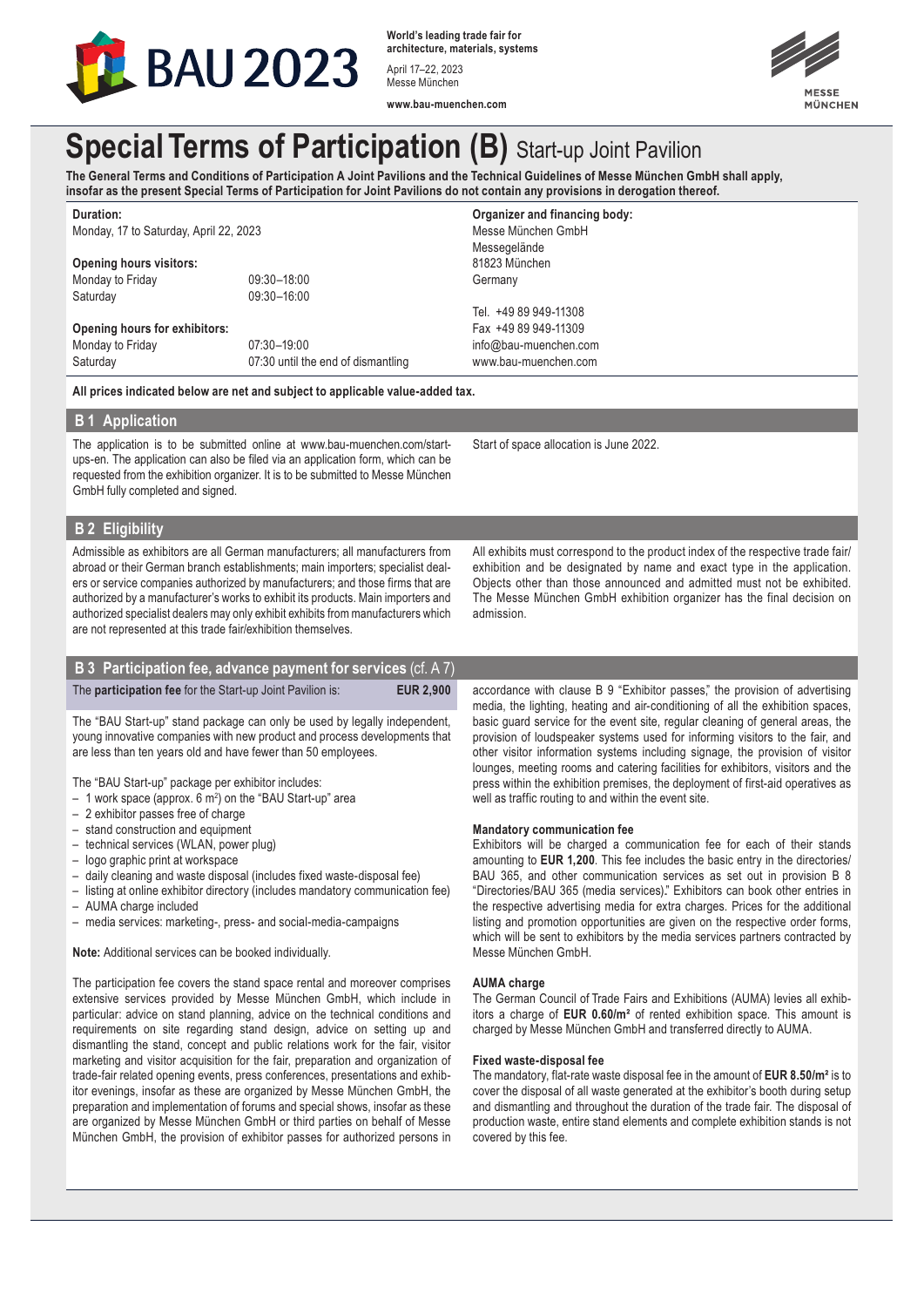

**World's leading trade fair for architecture, materials, systems** April 17–22, 2023 Messe München



**www.bau-muenchen.com**

# **Special Terms of Participation (B)** Start-up Joint Pavilion

**The General Terms and Conditions of Participation A Joint Pavilions and the Technical Guidelines of Messe München GmbH shall apply, insofar as the present Special Terms of Participation for Joint Pavilions do not contain any provisions in derogation thereof.**

**Duration:** Monday, 17 to Saturday, April 22, 2023

## **Opening hours visitors:**

Monday to Friday 09:30-18:00<br>Saturday 09:30-16:00

09:30-16:00

**Opening hours for exhibitors:** Monday to Friday 07:30-19:00 Saturday 07:30 until the end of dismantling

**All prices indicated below are net and subject to applicable value-added tax.**

#### **B 1 Application**

The application is to be submitted online at www.bau-muenchen.com/startups-en. The application can also be filed via an application form, which can be requested from the exhibition organizer. It is to be submitted to Messe München GmbH fully completed and signed.

**B 2 Eligibility** 

Admissible as exhibitors are all German manufacturers; all manufacturers from abroad or their German branch establishments; main importers; specialist dealers or service companies authorized by manufacturers; and those firms that are authorized by a manufacturer's works to exhibit its products. Main importers and authorized specialist dealers may only exhibit exhibits from manufacturers which are not represented at this trade fair/exhibition themselves.

## **B 3 Participation fee, advance payment for services** (cf. A 7)

The **participation fee** for the Start-up Joint Pavilion is: **EUR 2,900** 

The "BAU Start-up" stand package can only be used by legally independent, young innovative companies with new product and process developments that are less than ten years old and have fewer than 50 employees.

The "BAU Start-up" package per exhibitor includes:

- 1 work space (approx. 6 m2 ) on the "BAU Start-up" area
- 2 exhibitor passes free of charge
- stand construction and equipment
- technical services (WLAN, power plug)
- logo graphic print at workspace
- daily cleaning and waste disposal (includes fixed waste-disposal fee)
- listing at online exhibitor directory (includes mandatory communication fee)
- AUMA charge included
- media services: marketing-, press- and social-media-campaigns

**Note:** Additional services can be booked individually.

The participation fee covers the stand space rental and moreover comprises extensive services provided by Messe München GmbH, which include in particular: advice on stand planning, advice on the technical conditions and requirements on site regarding stand design, advice on setting up and dismantling the stand, concept and public relations work for the fair, visitor marketing and visitor acquisition for the fair, preparation and organization of trade-fair related opening events, press conferences, presentations and exhibitor evenings, insofar as these are organized by Messe München GmbH, the preparation and implementation of forums and special shows, insofar as these are organized by Messe München GmbH or third parties on behalf of Messe München GmbH, the provision of exhibitor passes for authorized persons in www.bau-muenchen.com

**Organizer and financing body:**  Messe München GmbH Messegelände 81823 München Germany

Tel. +49 89 949-11308 Fax +49 89 949-11309 info@bau-muenchen.com

Start of space allocation is June 2022.

accordance with clause B 9 "Exhibitor passes," the provision of advertising media, the lighting, heating and air-conditioning of all the exhibition spaces, basic guard service for the event site, regular cleaning of general areas, the provision of loudspeaker systems used for informing visitors to the fair, and other visitor information systems including signage, the provision of visitor lounges, meeting rooms and catering facilities for exhibitors, visitors and the press within the exhibition premises, the deployment of first-aid operatives as

All exhibits must correspond to the product index of the respective trade fair/ exhibition and be designated by name and exact type in the application. Objects other than those announced and admitted must not be exhibited. The Messe München GmbH exhibition organizer has the final decision on

#### **Mandatory communication fee**

well as traffic routing to and within the event site.

Exhibitors will be charged a communication fee for each of their stands amounting to **EUR 1,200**. This fee includes the basic entry in the directories/ BAU 365, and other communication services as set out in provision B 8 "Directories/BAU 365 (media services)." Exhibitors can book other entries in the respective advertising media for extra charges. Prices for the additional listing and promotion opportunities are given on the respective order forms, which will be sent to exhibitors by the media services partners contracted by Messe München GmbH.

#### **AUMA charge**

admission.

The German Council of Trade Fairs and Exhibitions (AUMA) levies all exhibitors a charge of **EUR 0.60/m²** of rented exhibition space. This amount is charged by Messe München GmbH and transferred directly to AUMA.

#### **Fixed waste-disposal fee**

The mandatory, flat-rate waste disposal fee in the amount of **EUR 8.50/m²** is to cover the disposal of all waste generated at the exhibitor's booth during setup and dismantling and throughout the duration of the trade fair. The disposal of production waste, entire stand elements and complete exhibition stands is not covered by this fee.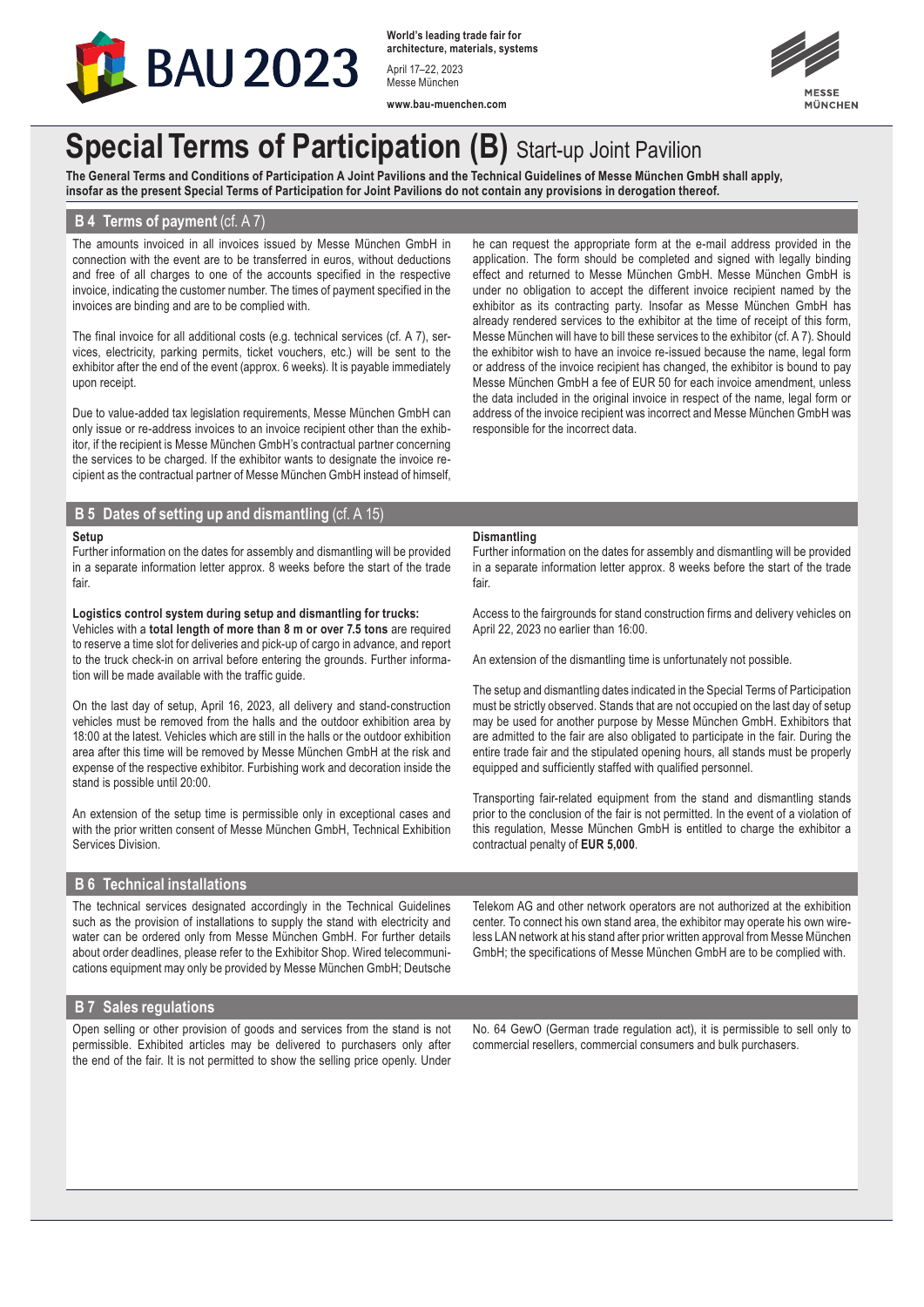

**World's leading trade fair for architecture, materials, systems** April 17–22, 2023 Messe München

**www.bau-muenchen.com**



## **Special Terms of Participation (B)** Start-up Joint Pavilion

**The General Terms and Conditions of Participation A Joint Pavilions and the Technical Guidelines of Messe München GmbH shall apply, insofar as the present Special Terms of Participation for Joint Pavilions do not contain any provisions in derogation thereof.**

#### **B 4 Terms of payment** (cf. A 7)

The amounts invoiced in all invoices issued by Messe München GmbH in connection with the event are to be transferred in euros, without deductions and free of all charges to one of the accounts specified in the respective invoice, indicating the customer number. The times of payment specified in the invoices are binding and are to be complied with.

The final invoice for all additional costs (e.g. technical services (cf. A 7), services, electricity, parking permits, ticket vouchers, etc.) will be sent to the exhibitor after the end of the event (approx. 6 weeks). It is payable immediately upon receipt.

Due to value-added tax legislation requirements, Messe München GmbH can only issue or re-address invoices to an invoice recipient other than the exhibitor, if the recipient is Messe München GmbH's contractual partner concerning the services to be charged. If the exhibitor wants to designate the invoice recipient as the contractual partner of Messe München GmbH instead of himself, he can request the appropriate form at the e-mail address provided in the application. The form should be completed and signed with legally binding effect and returned to Messe München GmbH. Messe München GmbH is under no obligation to accept the different invoice recipient named by the exhibitor as its contracting party. Insofar as Messe München GmbH has already rendered services to the exhibitor at the time of receipt of this form, Messe München will have to bill these services to the exhibitor (cf. A 7). Should the exhibitor wish to have an invoice re-issued because the name, legal form or address of the invoice recipient has changed, the exhibitor is bound to pay Messe München GmbH a fee of EUR 50 for each invoice amendment, unless the data included in the original invoice in respect of the name, legal form or address of the invoice recipient was incorrect and Messe München GmbH was responsible for the incorrect data.

#### **B 5 Dates of setting up and dismantling** (cf. A 15)

#### **Setup**

Further information on the dates for assembly and dismantling will be provided in a separate information letter approx. 8 weeks before the start of the trade fair.

#### **Logistics control system during setup and dismantling for trucks:**

Vehicles with a **total length of more than 8 m or over 7.5 tons** are required to reserve a time slot for deliveries and pick-up of cargo in advance, and report to the truck check-in on arrival before entering the grounds. Further information will be made available with the traffic guide.

On the last day of setup, April 16, 2023, all delivery and stand-construction vehicles must be removed from the halls and the outdoor exhibition area by 18:00 at the latest. Vehicles which are still in the halls or the outdoor exhibition area after this time will be removed by Messe München GmbH at the risk and expense of the respective exhibitor. Furbishing work and decoration inside the stand is possible until 20:00.

An extension of the setup time is permissible only in exceptional cases and with the prior written consent of Messe München GmbH, Technical Exhibition Services Division.

#### **B 6 Technical installations**

The technical services designated accordingly in the Technical Guidelines such as the provision of installations to supply the stand with electricity and water can be ordered only from Messe München GmbH. For further details about order deadlines, please refer to the Exhibitor Shop. Wired telecommunications equipment may only be provided by Messe München GmbH; Deutsche

#### **Dismantling**

Further information on the dates for assembly and dismantling will be provided in a separate information letter approx. 8 weeks before the start of the trade fair

Access to the fairgrounds for stand construction firms and delivery vehicles on April 22, 2023 no earlier than 16:00.

An extension of the dismantling time is unfortunately not possible.

The setup and dismantling dates indicated in the Special Terms of Participation must be strictly observed. Stands that are not occupied on the last day of setup may be used for another purpose by Messe München GmbH. Exhibitors that are admitted to the fair are also obligated to participate in the fair. During the entire trade fair and the stipulated opening hours, all stands must be properly equipped and sufficiently staffed with qualified personnel.

Transporting fair-related equipment from the stand and dismantling stands prior to the conclusion of the fair is not permitted. In the event of a violation of this regulation, Messe München GmbH is entitled to charge the exhibitor a contractual penalty of **EUR 5,000**.

Telekom AG and other network operators are not authorized at the exhibition center. To connect his own stand area, the exhibitor may operate his own wireless LAN network at his stand after prior written approval from Messe München GmbH; the specifications of Messe München GmbH are to be complied with.

## **B 7 Sales regulations**

Open selling or other provision of goods and services from the stand is not permissible. Exhibited articles may be delivered to purchasers only after the end of the fair. It is not permitted to show the selling price openly. Under No. 64 GewO (German trade regulation act), it is permissible to sell only to commercial resellers, commercial consumers and bulk purchasers.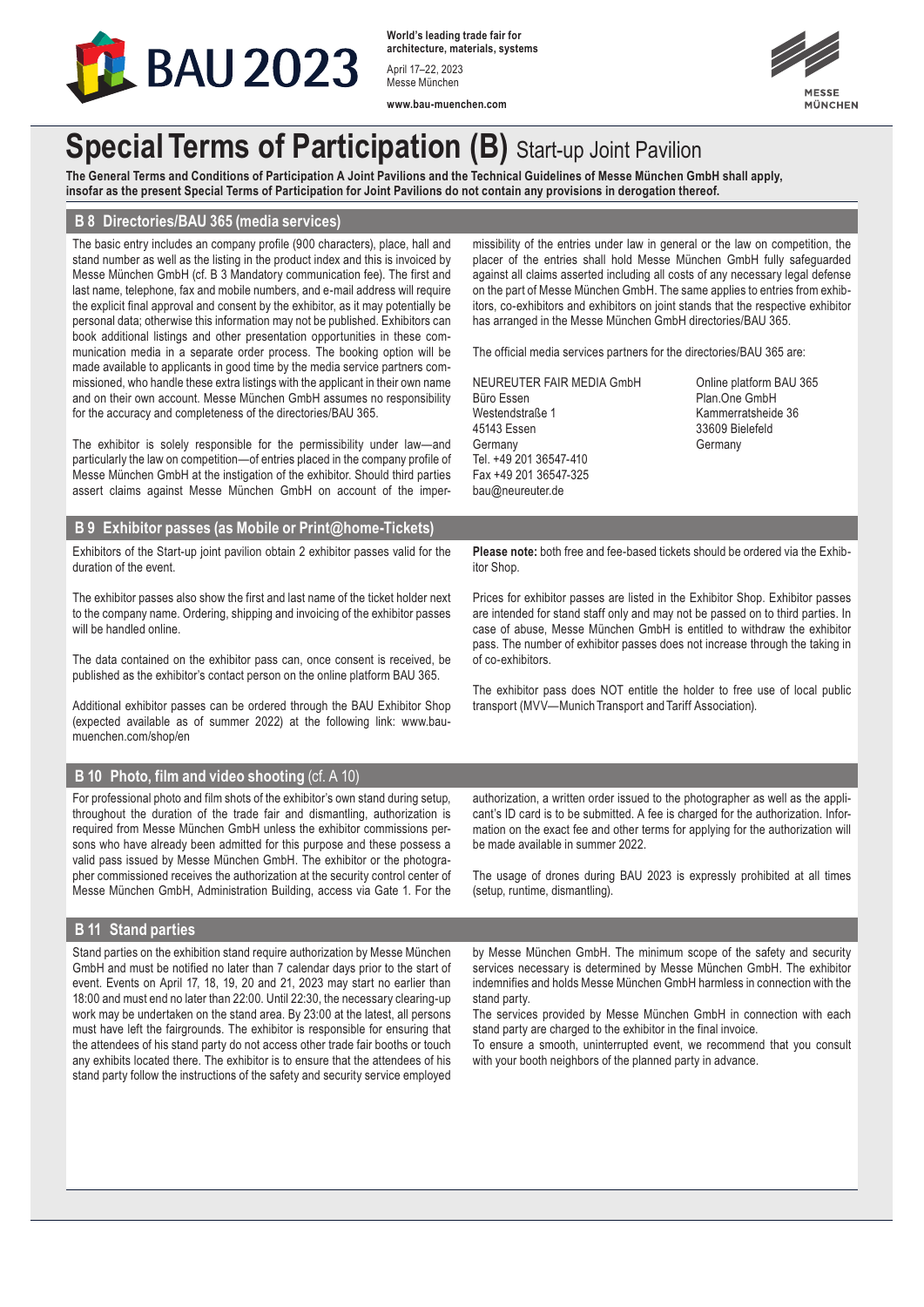

**World's leading trade fair for architecture, materials, systems** April 17–22, 2023 Messe München

**www.bau-muenchen.com**



## **Special Terms of Participation (B)** Start-up Joint Pavilion

**The General Terms and Conditions of Participation A Joint Pavilions and the Technical Guidelines of Messe München GmbH shall apply, insofar as the present Special Terms of Participation for Joint Pavilions do not contain any provisions in derogation thereof.**

## **B 8 Directories/BAU 365 (media services)**

The basic entry includes an company profile (900 characters), place, hall and stand number as well as the listing in the product index and this is invoiced by Messe München GmbH (cf. B 3 Mandatory communication fee). The first and last name, telephone, fax and mobile numbers, and e-mail address will require the explicit final approval and consent by the exhibitor, as it may potentially be personal data; otherwise this information may not be published. Exhibitors can book additional listings and other presentation opportunities in these communication media in a separate order process. The booking option will be made available to applicants in good time by the media service partners commissioned, who handle these extra listings with the applicant in their own name and on their own account. Messe München GmbH assumes no responsibility for the accuracy and completeness of the directories/BAU 365.

The exhibitor is solely responsible for the permissibility under law—and particularly the law on competition—of entries placed in the company profile of Messe München GmbH at the instigation of the exhibitor. Should third parties assert claims against Messe München GmbH on account of the impermissibility of the entries under law in general or the law on competition, the placer of the entries shall hold Messe München GmbH fully safeguarded against all claims asserted including all costs of any necessary legal defense on the part of Messe München GmbH. The same applies to entries from exhibitors, co-exhibitors and exhibitors on joint stands that the respective exhibitor has arranged in the Messe München GmbH directories/BAU 365.

The official media services partners for the directories/BAU 365 are:

NEUREUTER FAIR MEDIA GmbH Online platform BAU 365 Büro Essen Plan.One GmbH Westendstraße 1 Kammerratsheide 36 45143 Essen 33609 Bielefeld Germany Germany Germany Tel. +49 201 36547-410 Fax +49 201 36547-325 bau@neureuter.de

## **B 9 Exhibitor passes (as Mobile or Print@home-Tickets)**

Exhibitors of the Start-up joint pavilion obtain 2 exhibitor passes valid for the duration of the event.

The exhibitor passes also show the first and last name of the ticket holder next to the company name. Ordering, shipping and invoicing of the exhibitor passes will be handled online.

The data contained on the exhibitor pass can, once consent is received, be published as the exhibitor's contact person on the online platform BAU 365.

Additional exhibitor passes can be ordered through the BAU Exhibitor Shop (expected available as of summer 2022) at the following link: www.baumuenchen.com/shop/en

## **B 10 Photo, film and video shooting** (cf. A 10)

For professional photo and film shots of the exhibitor's own stand during setup, throughout the duration of the trade fair and dismantling, authorization is required from Messe München GmbH unless the exhibitor commissions persons who have already been admitted for this purpose and these possess a valid pass issued by Messe München GmbH. The exhibitor or the photographer commissioned receives the authorization at the security control center of Messe München GmbH, Administration Building, access via Gate 1. For the **Please note:** both free and fee-based tickets should be ordered via the Exhibitor Shop.

Prices for exhibitor passes are listed in the Exhibitor Shop. Exhibitor passes are intended for stand staff only and may not be passed on to third parties. In case of abuse, Messe München GmbH is entitled to withdraw the exhibitor pass. The number of exhibitor passes does not increase through the taking in of co-exhibitors.

The exhibitor pass does NOT entitle the holder to free use of local public transport (MVV—Munich Transport and Tariff Association).

authorization, a written order issued to the photographer as well as the applicant's ID card is to be submitted. A fee is charged for the authorization. Information on the exact fee and other terms for applying for the authorization will be made available in summer 2022.

The usage of drones during BAU 2023 is expressly prohibited at all times (setup, runtime, dismantling).

#### **B 11 Stand parties**

Stand parties on the exhibition stand require authorization by Messe München GmbH and must be notified no later than 7 calendar days prior to the start of event. Events on April 17, 18, 19, 20 and 21, 2023 may start no earlier than 18:00 and must end no later than 22:00. Until 22:30, the necessary clearing-up work may be undertaken on the stand area. By 23:00 at the latest, all persons must have left the fairgrounds. The exhibitor is responsible for ensuring that the attendees of his stand party do not access other trade fair booths or touch any exhibits located there. The exhibitor is to ensure that the attendees of his stand party follow the instructions of the safety and security service employed by Messe München GmbH. The minimum scope of the safety and security services necessary is determined by Messe München GmbH. The exhibitor indemnifies and holds Messe München GmbH harmless in connection with the stand party.

The services provided by Messe München GmbH in connection with each stand party are charged to the exhibitor in the final invoice.

To ensure a smooth, uninterrupted event, we recommend that you consult with your booth neighbors of the planned party in advance.